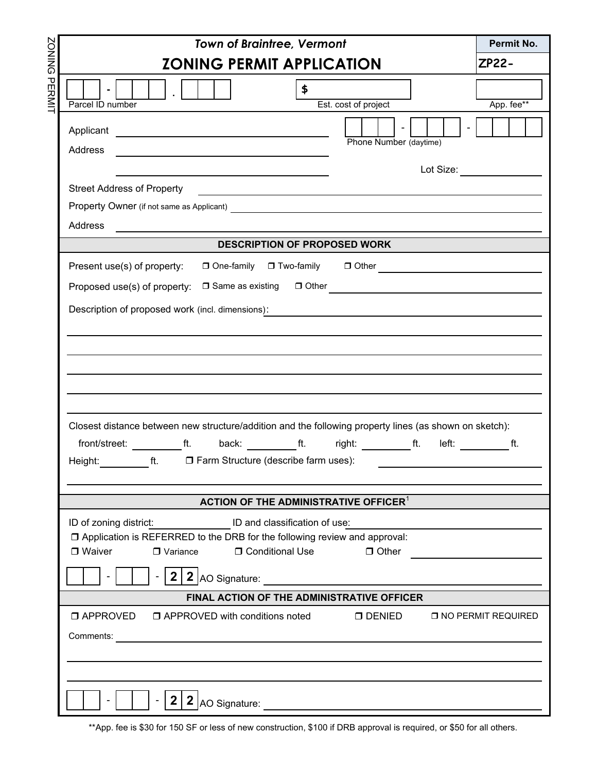|                                                                                                         | <b>Town of Braintree, Vermont</b>                                                                                                                                                                                                                                                                                                   | Permit No.   |  |
|---------------------------------------------------------------------------------------------------------|-------------------------------------------------------------------------------------------------------------------------------------------------------------------------------------------------------------------------------------------------------------------------------------------------------------------------------------|--------------|--|
| <b>DNINGZ</b>                                                                                           | <b>ZONING PERMIT APPLICATION</b>                                                                                                                                                                                                                                                                                                    | <b>ZP22-</b> |  |
| ᠊ᠣ<br>田山                                                                                                | \$<br>Est. cost of project<br>Parcel ID number                                                                                                                                                                                                                                                                                      | App. fee**   |  |
|                                                                                                         | Applicant <u>example and the set of the set of the set of the set of the set of the set of the set of the set of the set of the set of the set of the set of the set of the set of the set of the set of the set of the set of t</u><br>Phone Number (daytime)<br>Address<br><u> 1980 - Jan Alexandri, fransk politik (d. 1980)</u> |              |  |
| Lot Size:                                                                                               |                                                                                                                                                                                                                                                                                                                                     |              |  |
|                                                                                                         | <b>Street Address of Property</b>                                                                                                                                                                                                                                                                                                   |              |  |
|                                                                                                         |                                                                                                                                                                                                                                                                                                                                     |              |  |
|                                                                                                         | Address                                                                                                                                                                                                                                                                                                                             |              |  |
|                                                                                                         | <b>DESCRIPTION OF PROPOSED WORK</b>                                                                                                                                                                                                                                                                                                 |              |  |
| Present use(s) of property:<br>□ One-family □ Two-family □ Other <u>_______________________________</u> |                                                                                                                                                                                                                                                                                                                                     |              |  |
|                                                                                                         | Description of proposed work (incl. dimensions): <u>_______________________________</u>                                                                                                                                                                                                                                             |              |  |
|                                                                                                         |                                                                                                                                                                                                                                                                                                                                     |              |  |
|                                                                                                         |                                                                                                                                                                                                                                                                                                                                     |              |  |
|                                                                                                         |                                                                                                                                                                                                                                                                                                                                     |              |  |
|                                                                                                         |                                                                                                                                                                                                                                                                                                                                     |              |  |
|                                                                                                         |                                                                                                                                                                                                                                                                                                                                     |              |  |
|                                                                                                         |                                                                                                                                                                                                                                                                                                                                     |              |  |
|                                                                                                         | Closest distance between new structure/addition and the following property lines (as shown on sketch):                                                                                                                                                                                                                              |              |  |
|                                                                                                         | front/street: __________ft. back: _________ft. right: _________ft. left: _________ft.                                                                                                                                                                                                                                               |              |  |
|                                                                                                         | Height: ___________ft. □ Farm Structure (describe farm uses):                                                                                                                                                                                                                                                                       |              |  |
|                                                                                                         |                                                                                                                                                                                                                                                                                                                                     |              |  |
|                                                                                                         | ACTION OF THE ADMINISTRATIVE OFFICER <sup>1</sup>                                                                                                                                                                                                                                                                                   |              |  |
| ID of zoning district: ID and classification of use:                                                    |                                                                                                                                                                                                                                                                                                                                     |              |  |
|                                                                                                         | □ Application is REFERRED to the DRB for the following review and approval:                                                                                                                                                                                                                                                         |              |  |
|                                                                                                         | □ Conditional Use<br>$\Box$ Waiver<br>$\Box$ Other<br>$\Box$ Variance                                                                                                                                                                                                                                                               |              |  |
|                                                                                                         |                                                                                                                                                                                                                                                                                                                                     |              |  |
|                                                                                                         | FINAL ACTION OF THE ADMINISTRATIVE OFFICER                                                                                                                                                                                                                                                                                          |              |  |
|                                                                                                         | $\Box$ APPROVED $\Box$ APPROVED with conditions noted<br>$\Box$ DENIED $\Box$ NO PERMIT REQUIRED                                                                                                                                                                                                                                    |              |  |
|                                                                                                         |                                                                                                                                                                                                                                                                                                                                     |              |  |
|                                                                                                         |                                                                                                                                                                                                                                                                                                                                     |              |  |
|                                                                                                         |                                                                                                                                                                                                                                                                                                                                     |              |  |
|                                                                                                         | $2 2 $ AO Signature:                                                                                                                                                                                                                                                                                                                |              |  |

\*\*App. fee is \$30 for 150 SF or less of new construction, \$100 if DRB approval is required, or \$50 for all others.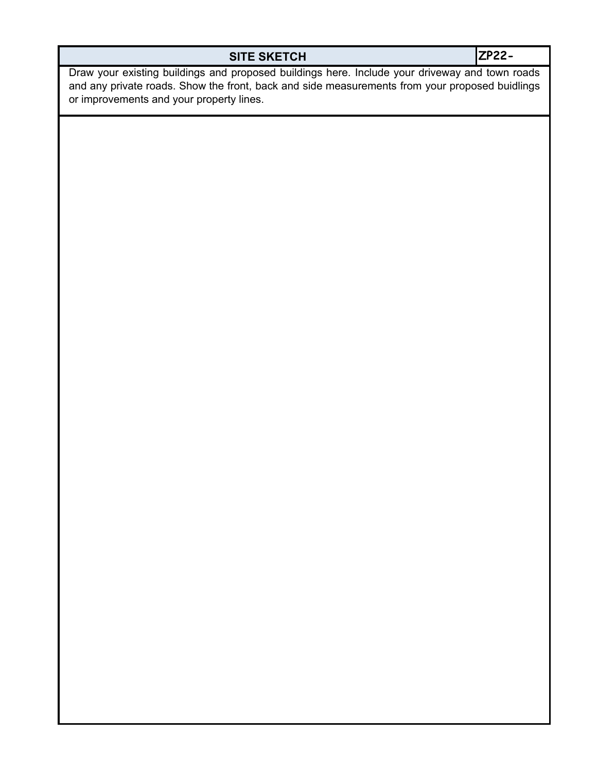## **SITE SKETCH**

**ZP22-**

Draw your existing buildings and proposed buildings here. Include your driveway and town roads and any private roads. Show the front, back and side measurements from your proposed buidlings or improvements and your property lines.